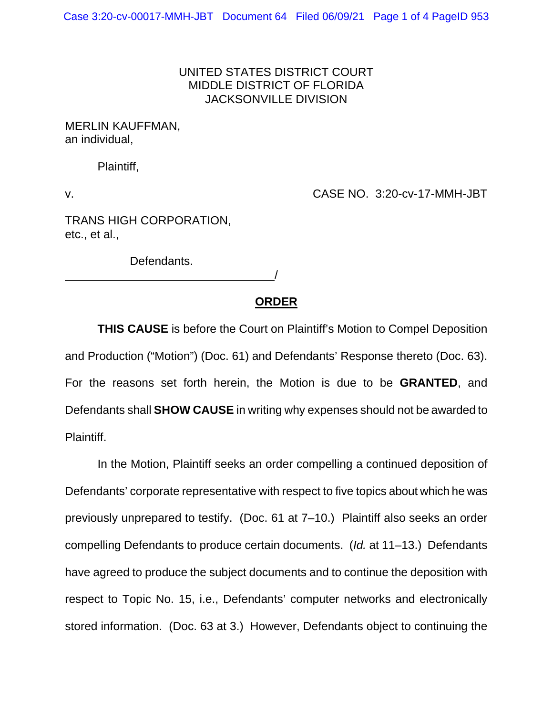## UNITED STATES DISTRICT COURT MIDDLE DISTRICT OF FLORIDA JACKSONVILLE DIVISION

MERLIN KAUFFMAN, an individual,

Plaintiff,

v. CASE NO. 3:20-cv-17-MMH-JBT

TRANS HIGH CORPORATION, etc., et al.,

Defendants.

## **ORDER**

/

**THIS CAUSE** is before the Court on Plaintiff's Motion to Compel Deposition and Production ("Motion") (Doc. 61) and Defendants' Response thereto (Doc. 63). For the reasons set forth herein, the Motion is due to be **GRANTED**, and Defendants shall **SHOW CAUSE** in writing why expenses should not be awarded to Plaintiff.

In the Motion, Plaintiff seeks an order compelling a continued deposition of Defendants' corporate representative with respect to five topics about which he was previously unprepared to testify. (Doc. 61 at 7–10.) Plaintiff also seeks an order compelling Defendants to produce certain documents. (*Id.* at 11–13.) Defendants have agreed to produce the subject documents and to continue the deposition with respect to Topic No. 15, i.e., Defendants' computer networks and electronically stored information. (Doc. 63 at 3.) However, Defendants object to continuing the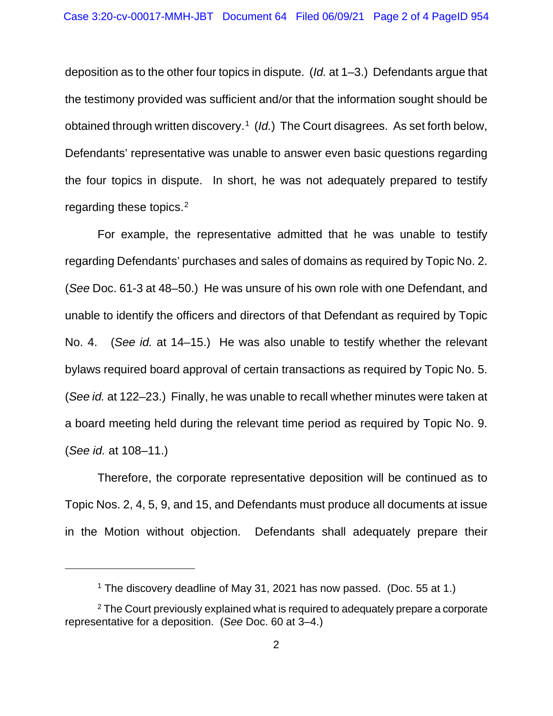deposition as to the other four topics in dispute. (*Id.* at 1–3.) Defendants argue that the testimony provided was sufficient and/or that the information sought should be obtained through written discovery.<sup>[1](#page-1-0)</sup> (*Id.*) The Court disagrees. As set forth below, Defendants' representative was unable to answer even basic questions regarding the four topics in dispute. In short, he was not adequately prepared to testify regarding these topics. [2](#page-1-1) 

For example, the representative admitted that he was unable to testify regarding Defendants' purchases and sales of domains as required by Topic No. 2. (*See* Doc. 61-3 at 48–50.) He was unsure of his own role with one Defendant, and unable to identify the officers and directors of that Defendant as required by Topic No. 4. (*See id.* at 14–15.) He was also unable to testify whether the relevant bylaws required board approval of certain transactions as required by Topic No. 5. (*See id.* at 122–23.) Finally, he was unable to recall whether minutes were taken at a board meeting held during the relevant time period as required by Topic No. 9. (*See id.* at 108–11.)

Therefore, the corporate representative deposition will be continued as to Topic Nos. 2, 4, 5, 9, and 15, and Defendants must produce all documents at issue in the Motion without objection. Defendants shall adequately prepare their

<sup>&</sup>lt;sup>1</sup> The discovery deadline of May 31, 2021 has now passed. (Doc. 55 at 1.)

<span id="page-1-1"></span><span id="page-1-0"></span> $2$  The Court previously explained what is required to adequately prepare a corporate representative for a deposition. (*See* Doc. 60 at 3–4.)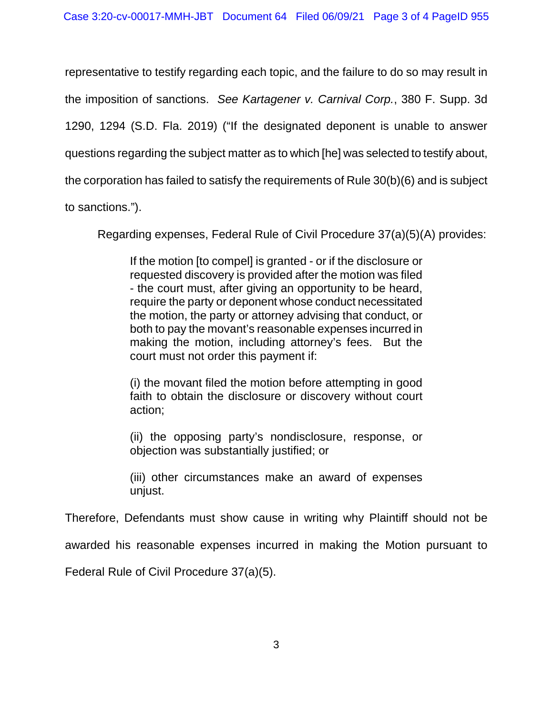representative to testify regarding each topic, and the failure to do so may result in the imposition of sanctions. *See Kartagener v. Carnival Corp.*, 380 F. Supp. 3d 1290, 1294 (S.D. Fla. 2019) ("If the designated deponent is unable to answer questions regarding the subject matter as to which [he] was selected to testify about, the corporation has failed to satisfy the requirements of Rule 30(b)(6) and is subject to sanctions.").

Regarding expenses, Federal Rule of Civil Procedure 37(a)(5)(A) provides:

If the motion [to compel] is granted - or if the disclosure or requested discovery is provided after the motion was filed - the court must, after giving an opportunity to be heard, require the party or deponent whose conduct necessitated the motion, the party or attorney advising that conduct, or both to pay the movant's reasonable expenses incurred in making the motion, including attorney's fees. But the court must not order this payment if:

(i) the movant filed the motion before attempting in good faith to obtain the disclosure or discovery without court action;

(ii) the opposing party's nondisclosure, response, or objection was substantially justified; or

(iii) other circumstances make an award of expenses unjust.

Therefore, Defendants must show cause in writing why Plaintiff should not be

awarded his reasonable expenses incurred in making the Motion pursuant to

Federal Rule of Civil Procedure 37(a)(5).